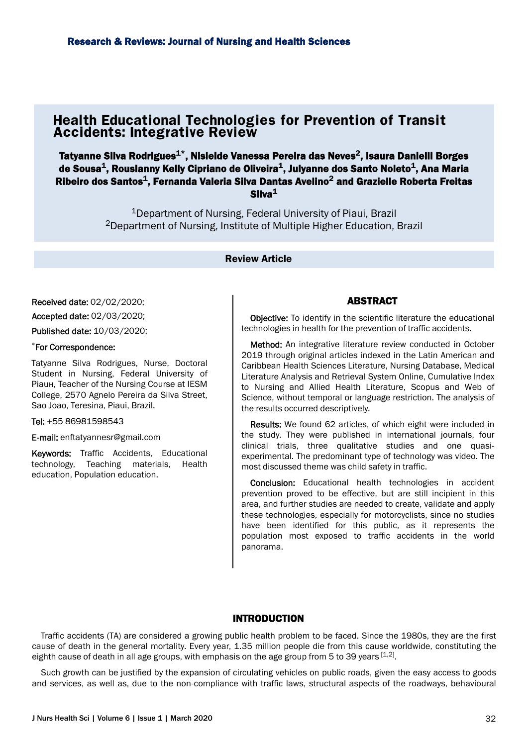# **Health Educational Technologies for Prevention of Transit Accidents: Integrative Review**

Tatyanne Silva Rodrigues $^{\texttt{1}\star}$ , Nisleide Vanessa Pereira das Neves $^{\texttt{2}},$  Isaura Danielli Borges de Sousa $^{\mathsf{1}},$  Rouslanny Kelly Cipriano de Oliveira $^{\mathsf{1}},$  Julyanne dos Santo Noleto $^{\mathsf{1}},$  Ana Maria Ribeiro dos Santos $^{\mathtt{1}}$ , Fernanda Valeria Silva Dantas Avelino $^{\mathtt{2}}$  and Grazielle Roberta Freitas  $Silva<sup>1</sup>$ 

> <sup>1</sup>Department of Nursing, Federal University of Piaui, Brazil <sup>2</sup>Department of Nursing, Institute of Multiple Higher Education, Brazil

#### Review Article

Received date: 02/02/2020;

Accepted date: 02/03/2020;

Published date: 10/03/2020;

#### \*For Correspondence:

Tatyanne Silva Rodrigues, Nurse, Doctoral Student in Nursing, Federal University of Piauн, Teacher of the Nursing Course at IESM College, 2570 Agnelo Pereira da Silva Street, Sao Joao, Teresina, Piaui, Brazil.

Tel: +55 86981598543

E-mail: enftatyannesr@gmail.com

Keywords: Traffic Accidents, Educational technology, Teaching materials, Health education, Population education.

#### ABSTRACT

**Objective:** To identify in the scientific literature the educational technologies in health for the prevention of traffic accidents.

Method: An integrative literature review conducted in October 2019 through original articles indexed in the Latin American and Caribbean Health Sciences Literature, Nursing Database, Medical Literature Analysis and Retrieval System Online, Cumulative Index to Nursing and Allied Health Literature, Scopus and Web of Science, without temporal or language restriction. The analysis of the results occurred descriptively.

Results: We found 62 articles, of which eight were included in the study. They were published in international journals, four clinical trials, three qualitative studies and one quasiexperimental. The predominant type of technology was video. The most discussed theme was child safety in traffic.

Conclusion: Educational health technologies in accident prevention proved to be effective, but are still incipient in this area, and further studies are needed to create, validate and apply these technologies, especially for motorcyclists, since no studies have been identified for this public, as it represents the population most exposed to traffic accidents in the world panorama.

## INTRODUCTION

Traffic accidents (TA) are considered a growing public health problem to be faced. Since the 1980s, they are the first cause of death in the general mortality. Every year, 1.35 million people die from this cause worldwide, constituting the eighth cause of death in all age groups, with emphasis on the age group from 5 to 39 years  $^{\rm [1,2]}$ .

Such growth can be justified by the expansion of circulating vehicles on public roads, given the easy access to goods and services, as well as, due to the non-compliance with traffic laws, structural aspects of the roadways, behavioural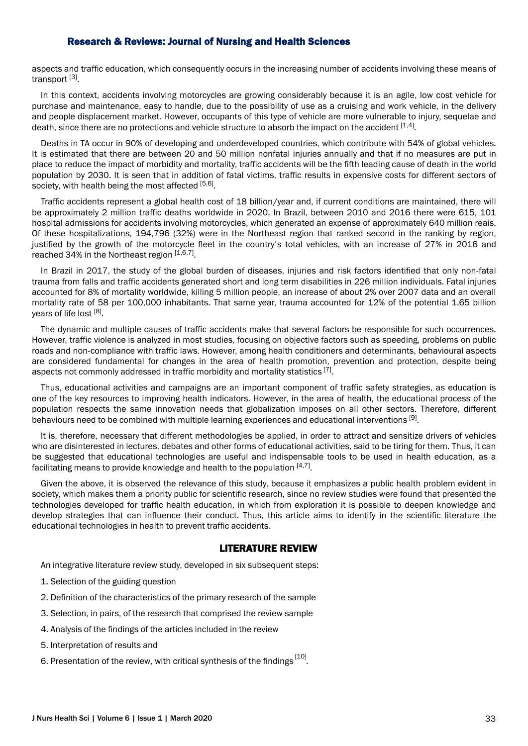aspects and traffic education, which consequently occurs in the increasing number of accidents involving these means of transport [3]

In this context, accidents involving motorcycles are growing considerably because it is an agile, low cost vehicle for purchase and maintenance, easy to handle, due to the possibility of use as a cruising and work vehicle, in the delivery and people displacement market. However, occupants of this type of vehicle are more vulnerable to injury, sequelae and death, since there are no protections and vehicle structure to absorb the impact on the accident [1,4].

Deaths in TA occur in 90% of developing and underdeveloped countries, which contribute with 54% of global vehicles. It is estimated that there are between 20 and 50 million nonfatal injuries annually and that if no measures are put in place to reduce the impact of morbidity and mortality, traffic accidents will be the fifth leading cause of death in the world population by 2030. It is seen that in addition of fatal victims, traffic results in expensive costs for different sectors of society, with health being the most affected [5,6].

Traffic accidents represent a global health cost of 18 billion/year and, if current conditions are maintained, there will be approximately 2 million traffic deaths worldwide in 2020. In Brazil, between 2010 and 2016 there were 615, 101 hospital admissions for accidents involving motorcycles, which generated an expense of approximately 640 million reais. Of these hospitalizations, 194,796 (32%) were in the Northeast region that ranked second in the ranking by region, justified by the growth of the motorcycle fleet in the country's total vehicles, with an increase of 27% in 2016 and reached 34% in the Northeast region [1,6,7].

In Brazil in 2017, the study of the global burden of diseases, injuries and risk factors identified that only non-fatal trauma from falls and traffic accidents generated short and long term disabilities in 226 million individuals. Fatal injuries accounted for 8% of mortality worldwide, killing 5 million people, an increase of about 2% over 2007 data and an overall mortality rate of 58 per 100,000 inhabitants. That same year, trauma accounted for 12% of the potential 1.65 billion years of life lost <sup>[8]</sup>.

The dynamic and multiple causes of traffic accidents make that several factors be responsible for such occurrences. However, traffic violence is analyzed in most studies, focusing on objective factors such as speeding, problems on public roads and non-compliance with traffic laws. However, among health conditioners and determinants, behavioural aspects are considered fundamental for changes in the area of health promotion, prevention and protection, despite being aspects not commonly addressed in traffic morbidity and mortality statistics  $^{[7]}$ .

Thus, educational activities and campaigns are an important component of traffic safety strategies, as education is one of the key resources to improving health indicators. However, in the area of health, the educational process of the population respects the same innovation needs that globalization imposes on all other sectors. Therefore, different behaviours need to be combined with multiple learning experiences and educational interventions [9].

It is, therefore, necessary that different methodologies be applied, in order to attract and sensitize drivers of vehicles who are disinterested in lectures, debates and other forms of educational activities, said to be tiring for them. Thus, it can be suggested that educational technologies are useful and indispensable tools to be used in health education, as a facilitating means to provide knowledge and health to the population  $^{[4,7]}.$ 

Given the above, it is observed the relevance of this study, because it emphasizes a public health problem evident in society, which makes them a priority public for scientific research, since no review studies were found that presented the technologies developed for traffic health education, in which from exploration it is possible to deepen knowledge and develop strategies that can influence their conduct. Thus, this article aims to identify in the scientific literature the educational technologies in health to prevent traffic accidents.

## LITERATURE REVIEW

An integrative literature review study, developed in six subsequent steps:

- 1. Selection of the guiding question
- 2. Definition of the characteristics of the primary research of the sample
- 3. Selection, in pairs, of the research that comprised the review sample
- 4. Analysis of the findings of the articles included in the review
- 5. Interpretation of results and
- 6. Presentation of the review, with critical synthesis of the findings  $^{[10]}$ .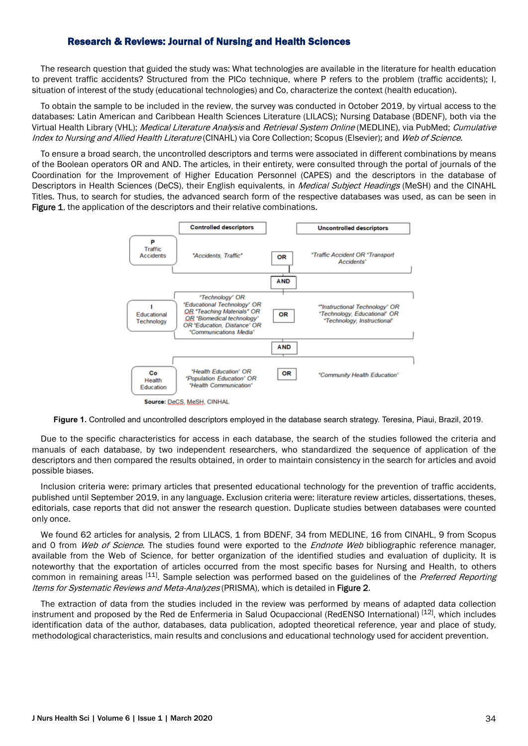The research question that guided the study was: What technologies are available in the literature for health education to prevent traffic accidents? Structured from the PICo technique, where P refers to the problem (traffic accidents); I, situation of interest of the study (educational technologies) and Co, characterize the context (health education).

To obtain the sample to be included in the review, the survey was conducted in October 2019, by virtual access to the databases: Latin American and Caribbean Health Sciences Literature (LILACS); Nursing Database (BDENF), both via the Virtual Health Library (VHL); Medical Literature Analysis and Retrieval System Online (MEDLINE), via PubMed; Cumulative Index to Nursing and Allied Health Literature (CINAHL) via Core Collection; Scopus (Elsevier); and Web of Science.

To ensure a broad search, the uncontrolled descriptors and terms were associated in different combinations by means of the Boolean operators OR and AND. The articles, in their entirety, were consulted through the portal of journals of the Coordination for the Improvement of Higher Education Personnel (CAPES) and the descriptors in the database of Descriptors in Health Sciences (DeCS), their English equivalents, in *Medical Subject Headings* (MeSH) and the CINAHL Titles. Thus, to search for studies, the advanced search form of the respective databases was used, as can be seen in Figure 1, the application of the descriptors and their relative combinations.



**Figure 1.** Controlled and uncontrolled descriptors employed in the database search strategy. Teresina, Piaui, Brazil, 2019.

Due to the specific characteristics for access in each database, the search of the studies followed the criteria and manuals of each database, by two independent researchers, who standardized the sequence of application of the descriptors and then compared the results obtained, in order to maintain consistency in the search for articles and avoid possible biases.

Inclusion criteria were: primary articles that presented educational technology for the prevention of traffic accidents, published until September 2019, in any language. Exclusion criteria were: literature review articles, dissertations, theses, editorials, case reports that did not answer the research question. Duplicate studies between databases were counted only once.

We found 62 articles for analysis, 2 from LILACS, 1 from BDENF, 34 from MEDLINE, 16 from CINAHL, 9 from Scopus and 0 from Web of Science. The studies found were exported to the Endnote Web bibliographic reference manager, available from the Web of Science, for better organization of the identified studies and evaluation of duplicity. It is noteworthy that the exportation of articles occurred from the most specific bases for Nursing and Health, to others common in remaining areas <sup>[11]</sup>. Sample selection was performed based on the guidelines of the *Preferred Reporting* Items for Systematic Reviews and Meta-Analyzes (PRISMA), which is detailed in Figure 2.

The extraction of data from the studies included in the review was performed by means of adapted data collection instrument and proposed by the Red de Enfermeria in Salud Ocupaccional (RedENSO International) [12], which includes identification data of the author, databases, data publication, adopted theoretical reference, year and place of study, methodological characteristics, main results and conclusions and educational technology used for accident prevention.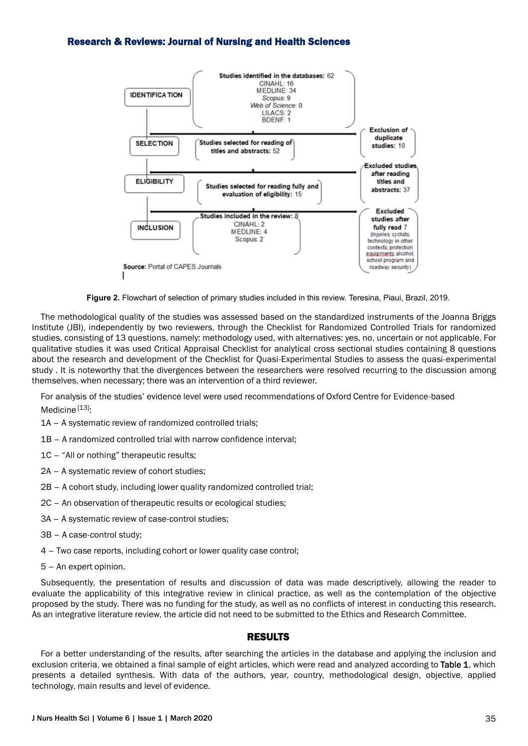

**Figure 2.** Flowchart of selection of primary studies included in this review. Teresina, Piaui, Brazil, 2019.

The methodological quality of the studies was assessed based on the standardized instruments of the Joanna Briggs Institute (JBI), independently by two reviewers, through the Checklist for Randomized Controlled Trials for randomized studies, consisting of 13 questions, namely: methodology used, with alternatives: yes, no, uncertain or not applicable. For qualitative studies it was used Critical Appraisal Checklist for analytical cross sectional studies containing 8 questions about the research and development of the Checklist for Quasi-Experimental Studies to assess the quasi-experimental study . It is noteworthy that the divergences between the researchers were resolved recurring to the discussion among themselves, when necessary; there was an intervention of a third reviewer.

For analysis of the studies' evidence level were used recommendations of Oxford Centre for Evidence-based Medicine<sup>[13]</sup>:

- 1A A systematic review of randomized controlled trials;
- 1B A randomized controlled trial with narrow confidence interval;
- 1C "All or nothing" therapeutic results;
- 2A A systematic review of cohort studies;
- 2B A cohort study, including lower quality randomized controlled trial;
- 2C An observation of therapeutic results or ecological studies;
- 3A A systematic review of case-control studies;
- 3B A case-control study;
- 4 Two case reports, including cohort or lower quality case control;
- 5 An expert opinion.

Subsequently, the presentation of results and discussion of data was made descriptively, allowing the reader to evaluate the applicability of this integrative review in clinical practice, as well as the contemplation of the objective proposed by the study. There was no funding for the study, as well as no conflicts of interest in conducting this research. As an integrative literature review, the article did not need to be submitted to the Ethics and Research Committee.

#### RESULTS

For a better understanding of the results, after searching the articles in the database and applying the inclusion and exclusion criteria, we obtained a final sample of eight articles, which were read and analyzed according to Table 1, which presents a detailed synthesis. With data of the authors, year, country, methodological design, objective, applied technology, main results and level of evidence.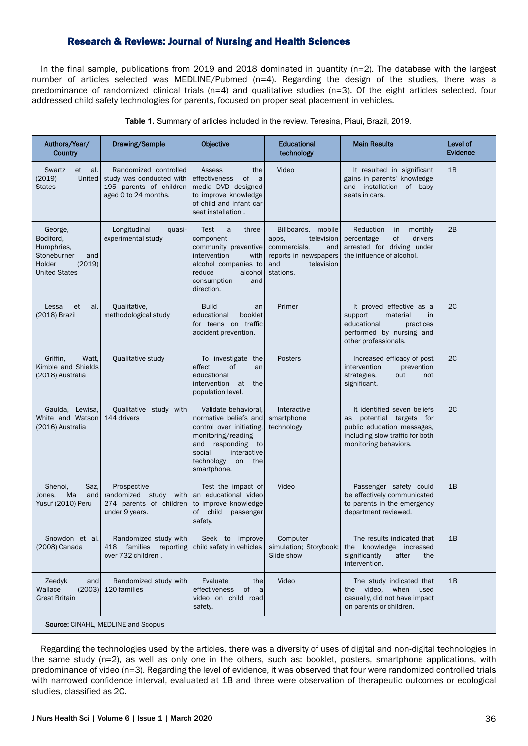In the final sample, publications from 2019 and 2018 dominated in quantity (n=2). The database with the largest number of articles selected was MEDLINE/Pubmed (n=4). Regarding the design of the studies, there was a predominance of randomized clinical trials (n=4) and qualitative studies (n=3). Of the eight articles selected, four addressed child safety technologies for parents, focused on proper seat placement in vehicles.

| Authors/Year/<br><b>Country</b>                                                                      | Drawing/Sample                                                                                       | Objective                                                                                                                                                                                  | <b>Educational</b><br>technology                                                                                            | <b>Main Results</b>                                                                                                                                  | Level of<br><b>Evidence</b> |
|------------------------------------------------------------------------------------------------------|------------------------------------------------------------------------------------------------------|--------------------------------------------------------------------------------------------------------------------------------------------------------------------------------------------|-----------------------------------------------------------------------------------------------------------------------------|------------------------------------------------------------------------------------------------------------------------------------------------------|-----------------------------|
| Swartz<br>et<br>-al.<br>United<br>(2019)<br><b>States</b>                                            | Randomized controlled<br>study was conducted with<br>195 parents of children<br>aged 0 to 24 months. | Assess<br>the<br>effectiveness<br>of<br>a<br>media DVD designed<br>to improve knowledge<br>of child and infant car<br>seat installation.                                                   | Video                                                                                                                       | It resulted in significant<br>gains in parents' knowledge<br>and installation of baby<br>seats in cars.                                              | 1B                          |
| George.<br>Bodiford,<br>Humphries,<br>Stoneburner<br>and<br>Holder<br>(2019)<br><b>United States</b> | Longitudinal<br>quasi-<br>experimental study                                                         | Test<br>three-<br>a<br>component<br>community preventive<br>intervention<br>with<br>alcohol companies to<br>reduce<br>alcohol<br>consumption<br>and<br>direction.                          | Billboards, mobile<br>television<br>apps,<br>commercials,<br>and<br>reports in newspapers<br>television<br>and<br>stations. | Reduction<br>in<br>monthly<br>percentage<br>οf<br>drivers<br>arrested for driving under<br>the influence of alcohol.                                 | 2B                          |
| Lessa<br>et<br>al.<br>(2018) Brazil                                                                  | Qualitative,<br>methodological study                                                                 | <b>Build</b><br>an<br>educational<br>booklet<br>for teens on traffic<br>accident prevention.                                                                                               | Primer                                                                                                                      | It proved effective as a<br>support<br>material<br>in<br>educational<br>practices<br>performed by nursing and<br>other professionals.                | 2C                          |
| Griffin,<br>Watt,<br>Kimble and Shields<br>(2018) Australia                                          | Qualitative study                                                                                    | To investigate the<br>effect<br>of<br>an<br>educational<br>intervention<br>at<br>the<br>population level.                                                                                  | Posters                                                                                                                     | Increased efficacy of post<br>intervention<br>prevention<br>strategies.<br>but<br>not<br>significant.                                                | 2C                          |
| Gaulda, Lewisa,<br>White and Watson<br>(2016) Australia                                              | Qualitative study with<br>144 drivers                                                                | Validate behavioral,<br>normative beliefs and<br>control over initiating,<br>monitoring/reading<br>and<br>responding to<br>social<br>interactive<br>technology<br>on<br>the<br>smartphone. | Interactive<br>smartphone<br>technology                                                                                     | It identified seven beliefs<br>as potential targets<br>for<br>public education messages,<br>including slow traffic for both<br>monitoring behaviors. | 2C                          |
| Shenoi,<br>Saz.<br>Ma<br>Jones,<br>and<br>Yusuf (2010) Peru                                          | Prospective<br>randomized study with<br>274 parents of children<br>under 9 years.                    | Test the impact of<br>an educational video<br>to improve knowledge<br>of child<br>passenger<br>safety.                                                                                     | Video                                                                                                                       | Passenger safety could<br>be effectively communicated<br>to parents in the emergency<br>department reviewed.                                         | 1B                          |
| Snowdon et al.<br>(2008) Canada                                                                      | Randomized study with<br>families reporting<br>418<br>over 732 children.                             | Seek to improve<br>child safety in vehicles                                                                                                                                                | Computer<br>simulation; Storybook;<br>Slide show                                                                            | The results indicated that<br>knowledge increased<br>the<br>significantly<br>after<br>the<br>intervention.                                           | 1B                          |
| Zeedyk<br>and<br>Wallace<br>(2003)<br><b>Great Britain</b>                                           | Randomized study with<br>120 families                                                                | Evaluate<br>the<br>effectiveness<br>of<br>a a<br>video on child road<br>safety.                                                                                                            | Video                                                                                                                       | The study indicated that<br>when<br>video,<br>used<br>the<br>casually, did not have impact<br>on parents or children.                                | 1B                          |
| <b>Source: CINAHL, MEDLINE and Scopus</b>                                                            |                                                                                                      |                                                                                                                                                                                            |                                                                                                                             |                                                                                                                                                      |                             |

**Table 1.** Summary of articles included in the review. Teresina, Piaui, Brazil, 2019.

Regarding the technologies used by the articles, there was a diversity of uses of digital and non-digital technologies in the same study (n=2), as well as only one in the others, such as: booklet, posters, smartphone applications, with predominance of video (n=3). Regarding the level of evidence, it was observed that four were randomized controlled trials with narrowed confidence interval, evaluated at 1B and three were observation of therapeutic outcomes or ecological studies, classified as 2C.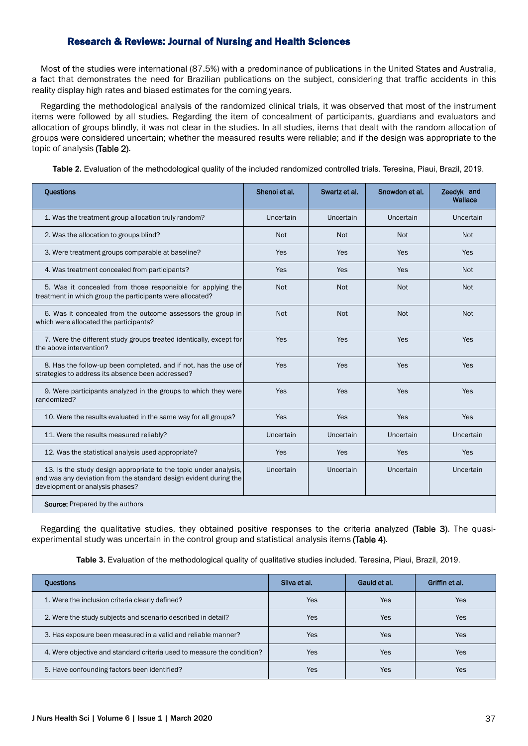Most of the studies were international (87.5%) with a predominance of publications in the United States and Australia, a fact that demonstrates the need for Brazilian publications on the subject, considering that traffic accidents in this reality display high rates and biased estimates for the coming years.

Regarding the methodological analysis of the randomized clinical trials, it was observed that most of the instrument items were followed by all studies. Regarding the item of concealment of participants, guardians and evaluators and allocation of groups blindly, it was not clear in the studies. In all studies, items that dealt with the random allocation of groups were considered uncertain; whether the measured results were reliable; and if the design was appropriate to the topic of analysis (Table 2).

**Table 2.** Evaluation of the methodological quality of the included randomized controlled trials. Teresina, Piaui, Brazil, 2019.

| <b>Questions</b>                                                                                                                                                         | Shenoi et al. | Swartz et al. | Snowdon et al. | Zeedyk and<br>Wallace |
|--------------------------------------------------------------------------------------------------------------------------------------------------------------------------|---------------|---------------|----------------|-----------------------|
| 1. Was the treatment group allocation truly random?                                                                                                                      | Uncertain     | Uncertain     | Uncertain      | Uncertain             |
| 2. Was the allocation to groups blind?                                                                                                                                   | <b>Not</b>    | <b>Not</b>    | <b>Not</b>     | <b>Not</b>            |
| 3. Were treatment groups comparable at baseline?                                                                                                                         | Yes           | Yes           | Yes            | Yes                   |
| 4. Was treatment concealed from participants?                                                                                                                            | Yes           | Yes           | Yes            | <b>Not</b>            |
| 5. Was it concealed from those responsible for applying the<br>treatment in which group the participants were allocated?                                                 | <b>Not</b>    | <b>Not</b>    | <b>Not</b>     | <b>Not</b>            |
| 6. Was it concealed from the outcome assessors the group in<br>which were allocated the participants?                                                                    | <b>Not</b>    | <b>Not</b>    | <b>Not</b>     | <b>Not</b>            |
| 7. Were the different study groups treated identically, except for<br>the above intervention?                                                                            | Yes           | Yes           | Yes            | Yes                   |
| 8. Has the follow-up been completed, and if not, has the use of<br>strategies to address its absence been addressed?                                                     | Yes           | Yes           | Yes            | Yes                   |
| 9. Were participants analyzed in the groups to which they were<br>randomized?                                                                                            | Yes           | Yes           | Yes            | Yes                   |
| 10. Were the results evaluated in the same way for all groups?                                                                                                           | Yes           | Yes           | Yes            | Yes                   |
| 11. Were the results measured reliably?                                                                                                                                  | Uncertain     | Uncertain     | Uncertain      | Uncertain             |
| 12. Was the statistical analysis used appropriate?                                                                                                                       | Yes           | Yes           | Yes            | Yes                   |
| 13. Is the study design appropriate to the topic under analysis,<br>and was any deviation from the standard design evident during the<br>development or analysis phases? | Uncertain     | Uncertain     | Uncertain      | Uncertain             |
| <b>Source:</b> Prepared by the authors                                                                                                                                   |               |               |                |                       |

Regarding the qualitative studies, they obtained positive responses to the criteria analyzed (Table 3). The quasiexperimental study was uncertain in the control group and statistical analysis items (Table 4).

**Table 3.** Evaluation of the methodological quality of qualitative studies included. Teresina, Piaui, Brazil, 2019.

| <b>Ouestions</b>                                                       | Silva et al. | Gauld et al. | Griffin et al. |
|------------------------------------------------------------------------|--------------|--------------|----------------|
| 1. Were the inclusion criteria clearly defined?                        | Yes          | Yes          | Yes            |
| 2. Were the study subjects and scenario described in detail?           | Yes          | Yes          | Yes            |
| 3. Has exposure been measured in a valid and reliable manner?          | Yes          | Yes          | Yes            |
| 4. Were objective and standard criteria used to measure the condition? | Yes          | Yes          | Yes            |
| 5. Have confounding factors been identified?                           | Yes          | Yes          | Yes            |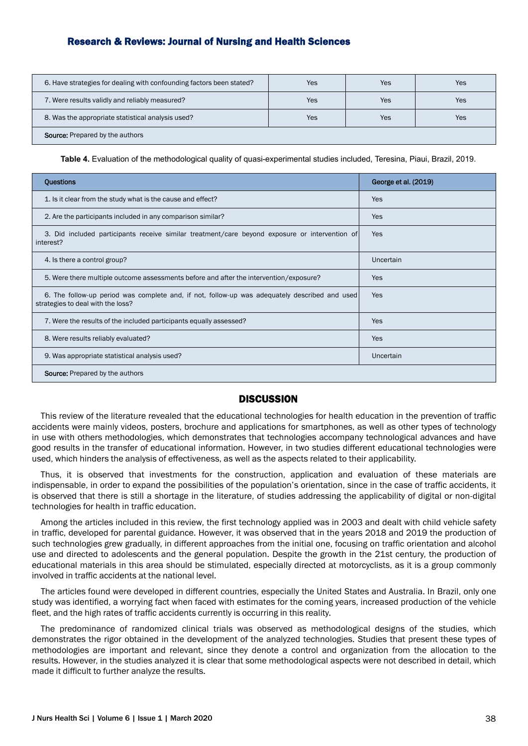| 6. Have strategies for dealing with confounding factors been stated? | Yes | Yes | Yes |
|----------------------------------------------------------------------|-----|-----|-----|
| 7. Were results validly and reliably measured?                       | Yes | Yes | Yes |
| 8. Was the appropriate statistical analysis used?                    | Yes | Yes | Yes |
| <b>Source:</b> Prepared by the authors                               |     |     |     |

**Table 4.** Evaluation of the methodological quality of quasi-experimental studies included, Teresina, Piaui, Brazil, 2019.

| <b>Questions</b>                                                                                                                   | George et al. (2019) |
|------------------------------------------------------------------------------------------------------------------------------------|----------------------|
| 1. Is it clear from the study what is the cause and effect?                                                                        | Yes                  |
| 2. Are the participants included in any comparison similar?                                                                        | Yes                  |
| 3. Did included participants receive similar treatment/care beyond exposure or intervention of<br>interest?                        | Yes                  |
| 4. Is there a control group?                                                                                                       | Uncertain            |
| 5. Were there multiple outcome assessments before and after the intervention/exposure?                                             | Yes                  |
| 6. The follow-up period was complete and, if not, follow-up was adequately described and used<br>strategies to deal with the loss? | Yes                  |
| 7. Were the results of the included participants equally assessed?                                                                 | Yes                  |
| 8. Were results reliably evaluated?                                                                                                | Yes                  |
| 9. Was appropriate statistical analysis used?                                                                                      | Uncertain            |
| <b>Source:</b> Prepared by the authors                                                                                             |                      |

#### **DISCUSSION**

This review of the literature revealed that the educational technologies for health education in the prevention of traffic accidents were mainly videos, posters, brochure and applications for smartphones, as well as other types of technology in use with others methodologies, which demonstrates that technologies accompany technological advances and have good results in the transfer of educational information. However, in two studies different educational technologies were used, which hinders the analysis of effectiveness, as well as the aspects related to their applicability.

Thus, it is observed that investments for the construction, application and evaluation of these materials are indispensable, in order to expand the possibilities of the population's orientation, since in the case of traffic accidents, it is observed that there is still a shortage in the literature, of studies addressing the applicability of digital or non-digital technologies for health in traffic education.

Among the articles included in this review, the first technology applied was in 2003 and dealt with child vehicle safety in traffic, developed for parental guidance. However, it was observed that in the years 2018 and 2019 the production of such technologies grew gradually, in different approaches from the initial one, focusing on traffic orientation and alcohol use and directed to adolescents and the general population. Despite the growth in the 21st century, the production of educational materials in this area should be stimulated, especially directed at motorcyclists, as it is a group commonly involved in traffic accidents at the national level.

The articles found were developed in different countries, especially the United States and Australia. In Brazil, only one study was identified, a worrying fact when faced with estimates for the coming years, increased production of the vehicle fleet, and the high rates of traffic accidents currently is occurring in this reality.

The predominance of randomized clinical trials was observed as methodological designs of the studies, which demonstrates the rigor obtained in the development of the analyzed technologies. Studies that present these types of methodologies are important and relevant, since they denote a control and organization from the allocation to the results. However, in the studies analyzed it is clear that some methodological aspects were not described in detail, which made it difficult to further analyze the results.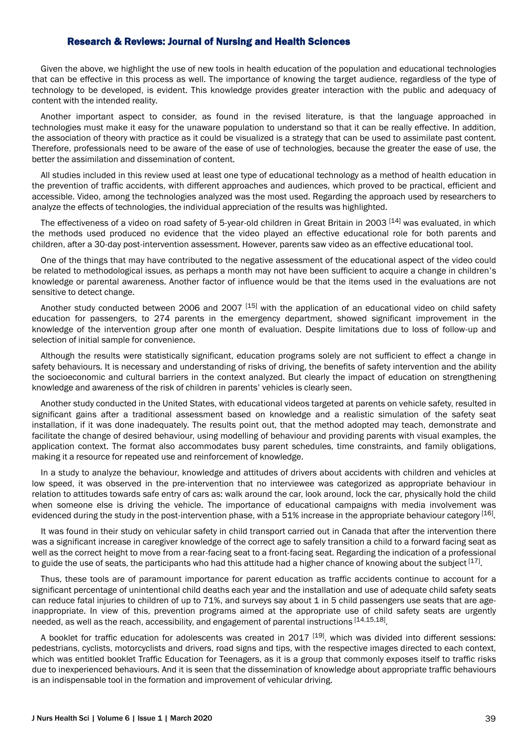Given the above, we highlight the use of new tools in health education of the population and educational technologies that can be effective in this process as well. The importance of knowing the target audience, regardless of the type of technology to be developed, is evident. This knowledge provides greater interaction with the public and adequacy of content with the intended reality.

Another important aspect to consider, as found in the revised literature, is that the language approached in technologies must make it easy for the unaware population to understand so that it can be really effective. In addition, the association of theory with practice as it could be visualized is a strategy that can be used to assimilate past content. Therefore, professionals need to be aware of the ease of use of technologies, because the greater the ease of use, the better the assimilation and dissemination of content.

All studies included in this review used at least one type of educational technology as a method of health education in the prevention of traffic accidents, with different approaches and audiences, which proved to be practical, efficient and accessible. Video, among the technologies analyzed was the most used. Regarding the approach used by researchers to analyze the effects of technologies, the individual appreciation of the results was highlighted.

The effectiveness of a video on road safety of 5-year-old children in Great Britain in 2003 [14] was evaluated, in which the methods used produced no evidence that the video played an effective educational role for both parents and children, after a 30-day post-intervention assessment. However, parents saw video as an effective educational tool.

One of the things that may have contributed to the negative assessment of the educational aspect of the video could be related to methodological issues, as perhaps a month may not have been sufficient to acquire a change in children's knowledge or parental awareness. Another factor of influence would be that the items used in the evaluations are not sensitive to detect change.

Another study conducted between 2006 and 2007 <sup>[15]</sup> with the application of an educational video on child safety education for passengers, to 274 parents in the emergency department, showed significant improvement in the knowledge of the intervention group after one month of evaluation. Despite limitations due to loss of follow-up and selection of initial sample for convenience.

Although the results were statistically significant, education programs solely are not sufficient to effect a change in safety behaviours. It is necessary and understanding of risks of driving, the benefits of safety intervention and the ability the socioeconomic and cultural barriers in the context analyzed. But clearly the impact of education on strengthening knowledge and awareness of the risk of children in parents' vehicles is clearly seen.

Another study conducted in the United States, with educational videos targeted at parents on vehicle safety, resulted in significant gains after a traditional assessment based on knowledge and a realistic simulation of the safety seat installation, if it was done inadequately. The results point out, that the method adopted may teach, demonstrate and facilitate the change of desired behaviour, using modelling of behaviour and providing parents with visual examples, the application context. The format also accommodates busy parent schedules, time constraints, and family obligations, making it a resource for repeated use and reinforcement of knowledge.

In a study to analyze the behaviour, knowledge and attitudes of drivers about accidents with children and vehicles at low speed, it was observed in the pre-intervention that no interviewee was categorized as appropriate behaviour in relation to attitudes towards safe entry of cars as: walk around the car, look around, lock the car, physically hold the child when someone else is driving the vehicle. The importance of educational campaigns with media involvement was evidenced during the study in the post-intervention phase, with a 51% increase in the appropriate behaviour category [16].

It was found in their study on vehicular safety in child transport carried out in Canada that after the intervention there was a significant increase in caregiver knowledge of the correct age to safely transition a child to a forward facing seat as well as the correct height to move from a rear-facing seat to a front-facing seat. Regarding the indication of a professional to guide the use of seats, the participants who had this attitude had a higher chance of knowing about the subject  $^{[17]}$ .

Thus, these tools are of paramount importance for parent education as traffic accidents continue to account for a significant percentage of unintentional child deaths each year and the installation and use of adequate child safety seats can reduce fatal injuries to children of up to 71%, and surveys say about 1 in 5 child passengers use seats that are ageinappropriate. In view of this, prevention programs aimed at the appropriate use of child safety seats are urgently needed, as well as the reach, accessibility, and engagement of parental instructions [14,15,18]

A booklet for traffic education for adolescents was created in  $2017$   $[19]$ , which was divided into different sessions: pedestrians, cyclists, motorcyclists and drivers, road signs and tips, with the respective images directed to each context, which was entitled booklet Traffic Education for Teenagers, as it is a group that commonly exposes itself to traffic risks due to inexperienced behaviours. And it is seen that the dissemination of knowledge about appropriate traffic behaviours is an indispensable tool in the formation and improvement of vehicular driving.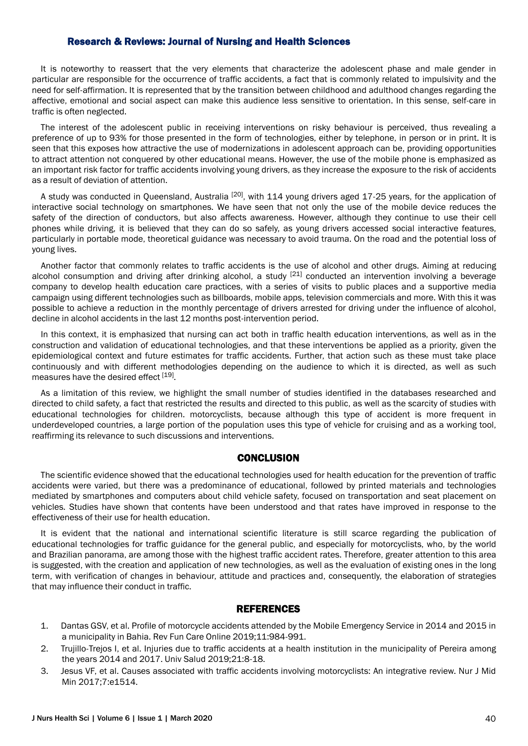It is noteworthy to reassert that the very elements that characterize the adolescent phase and male gender in particular are responsible for the occurrence of traffic accidents, a fact that is commonly related to impulsivity and the need for self-affirmation. It is represented that by the transition between childhood and adulthood changes regarding the affective, emotional and social aspect can make this audience less sensitive to orientation. In this sense, self-care in traffic is often neglected.

The interest of the adolescent public in receiving interventions on risky behaviour is perceived, thus revealing a preference of up to 93% for those presented in the form of technologies, either by telephone, in person or in print. It is seen that this exposes how attractive the use of modernizations in adolescent approach can be, providing opportunities to attract attention not conquered by other educational means. However, the use of the mobile phone is emphasized as an important risk factor for traffic accidents involving young drivers, as they increase the exposure to the risk of accidents as a result of deviation of attention.

A study was conducted in Oueensland, Australia <sup>[20]</sup>, with 114 young drivers aged 17-25 years, for the application of interactive social technology on smartphones. We have seen that not only the use of the mobile device reduces the safety of the direction of conductors, but also affects awareness. However, although they continue to use their cell phones while driving, it is believed that they can do so safely, as young drivers accessed social interactive features, particularly in portable mode, theoretical guidance was necessary to avoid trauma. On the road and the potential loss of young lives.

Another factor that commonly relates to traffic accidents is the use of alcohol and other drugs. Aiming at reducing alcohol consumption and driving after drinking alcohol, a study  $[21]$  conducted an intervention involving a beverage company to develop health education care practices, with a series of visits to public places and a supportive media campaign using different technologies such as billboards, mobile apps, television commercials and more. With this it was possible to achieve a reduction in the monthly percentage of drivers arrested for driving under the influence of alcohol, decline in alcohol accidents in the last 12 months post-intervention period.

In this context, it is emphasized that nursing can act both in traffic health education interventions, as well as in the construction and validation of educational technologies, and that these interventions be applied as a priority, given the epidemiological context and future estimates for traffic accidents. Further, that action such as these must take place continuously and with different methodologies depending on the audience to which it is directed, as well as such measures have the desired effect [19].

As a limitation of this review, we highlight the small number of studies identified in the databases researched and directed to child safety, a fact that restricted the results and directed to this public, as well as the scarcity of studies with educational technologies for children. motorcyclists, because although this type of accident is more frequent in underdeveloped countries, a large portion of the population uses this type of vehicle for cruising and as a working tool, reaffirming its relevance to such discussions and interventions.

#### **CONCLUSION**

The scientific evidence showed that the educational technologies used for health education for the prevention of traffic accidents were varied, but there was a predominance of educational, followed by printed materials and technologies mediated by smartphones and computers about child vehicle safety, focused on transportation and seat placement on vehicles. Studies have shown that contents have been understood and that rates have improved in response to the effectiveness of their use for health education.

It is evident that the national and international scientific literature is still scarce regarding the publication of educational technologies for traffic guidance for the general public, and especially for motorcyclists, who, by the world and Brazilian panorama, are among those with the highest traffic accident rates. Therefore, greater attention to this area is suggested, with the creation and application of new technologies, as well as the evaluation of existing ones in the long term, with verification of changes in behaviour, attitude and practices and, consequently, the elaboration of strategies that may influence their conduct in traffic.

#### REFERENCES

- 1. Dantas GSV, et al. Profile of motorcycle accidents attended by the Mobile Emergency Service in 2014 and 2015 in a municipality in Bahia. Rev Fun Care Online 2019;11:984-991.
- 2. Trujillo-Trejos I, et al. Injuries due to traffic accidents at a health institution in the municipality of Pereira among the years 2014 and 2017. Univ Salud 2019;21:8-18.
- 3. Jesus VF, et al. Causes associated with traffic accidents involving motorcyclists: An integrative review. Nur J Mid Min 2017;7:e1514.